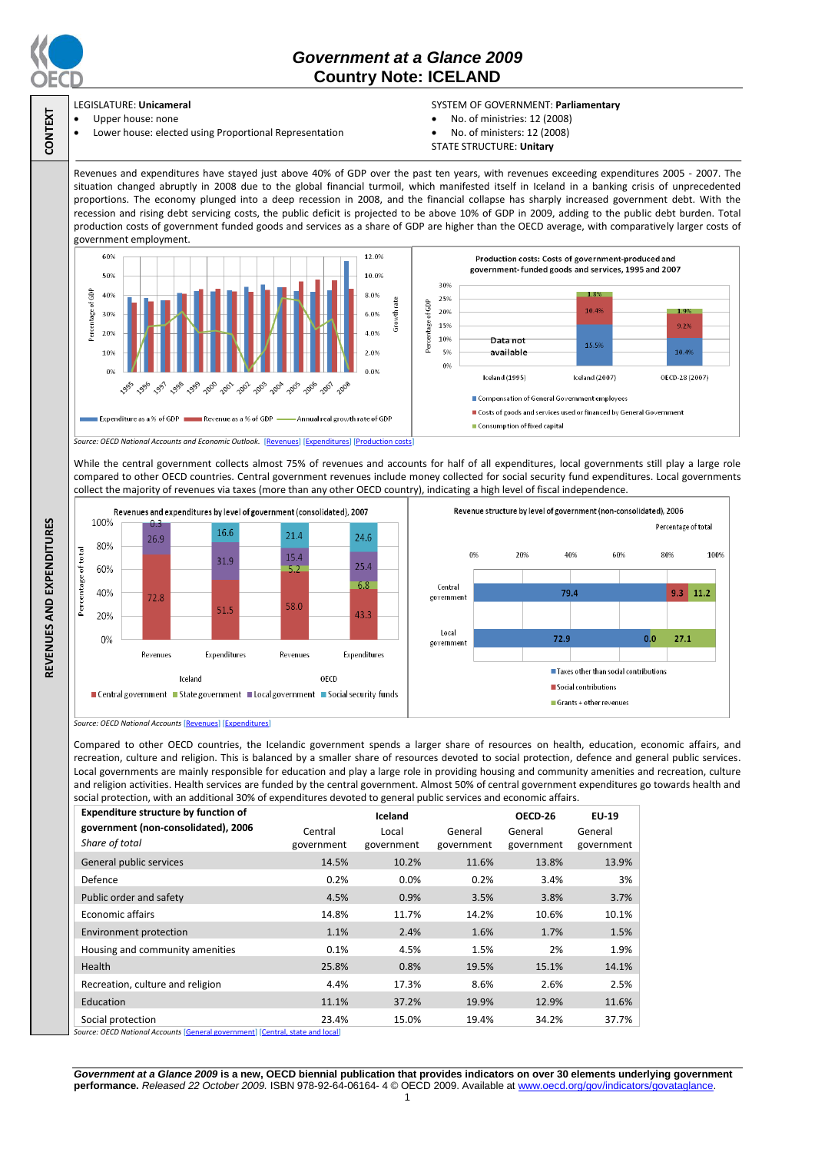

**CONTEXT**

# *Government at a Glance 2009*  **Country Note: ICELAND**

#### LEGISLATURE: **Unicameral** Upper house: none

Lower house: elected using Proportional Representation

#### SYSTEM OF GOVERNMENT: **Parliamentary**

- No. of ministries: 12 (2008)
- No. of ministers: 12 (2008)
- STATE STRUCTURE: **Unitary**

Revenues and expenditures have stayed just above 40% of GDP over the past ten years, with revenues exceeding expenditures 2005 - 2007. The situation changed abruptly in 2008 due to the global financial turmoil, which manifested itself in Iceland in a banking crisis of unprecedented proportions. The economy plunged into a deep recession in 2008, and the financial collapse has sharply increased government debt. With the recession and rising debt servicing costs, the public deficit is projected to be above 10% of GDP in 2009, adding to the public debt burden. Total production costs of government funded goods and services as a share of GDP are higher than the OECD average, with comparatively larger costs of government employment.



While the central government collects almost 75% of revenues and accounts for half of all expenditures, local governments still play a large role compared to other OECD countries. Central government revenues include money collected for social security fund expenditures. Local governments collect the majority of revenues via taxes (more than any other OECD country), indicating a high level of fiscal independence.





*Source: OECD National Accounts* [\[Revenues\]](http://dx.doi.org/10.1787/723418413857) [\[Expenditures\]](http://dx.doi.org/10.1787/723508524025)

Compared to other OECD countries, the Icelandic government spends a larger share of resources on health, education, economic affairs, and recreation, culture and religion. This is balanced by a smaller share of resources devoted to social protection, defence and general public services. Local governments are mainly responsible for education and play a large role in providing housing and community amenities and recreation, culture and religion activities. Health services are funded by the central government. Almost 50% of central government expenditures go towards health and social protection, with an additional 30% of expenditures devoted to general public services and economic affairs.

| <b>Expenditure structure by function of</b>                                                                                                                                                                                                                                                                                                                                        | Iceland               |                     |                       | OECD-26               | <b>EU-19</b>          |
|------------------------------------------------------------------------------------------------------------------------------------------------------------------------------------------------------------------------------------------------------------------------------------------------------------------------------------------------------------------------------------|-----------------------|---------------------|-----------------------|-----------------------|-----------------------|
| government (non-consolidated), 2006<br>Share of total                                                                                                                                                                                                                                                                                                                              | Central<br>government | Local<br>government | General<br>government | General<br>government | General<br>government |
| General public services                                                                                                                                                                                                                                                                                                                                                            | 14.5%                 | 10.2%               | 11.6%                 | 13.8%                 | 13.9%                 |
| Defence                                                                                                                                                                                                                                                                                                                                                                            | 0.2%                  | 0.0%                | 0.2%                  | 3.4%                  | 3%                    |
| Public order and safety                                                                                                                                                                                                                                                                                                                                                            | 4.5%                  | 0.9%                | 3.5%                  | 3.8%                  | 3.7%                  |
| <b>Economic affairs</b>                                                                                                                                                                                                                                                                                                                                                            | 14.8%                 | 11.7%               | 14.2%                 | 10.6%                 | 10.1%                 |
| Environment protection                                                                                                                                                                                                                                                                                                                                                             | 1.1%                  | 2.4%                | 1.6%                  | 1.7%                  | 1.5%                  |
| Housing and community amenities                                                                                                                                                                                                                                                                                                                                                    | 0.1%                  | 4.5%                | 1.5%                  | 2%                    | 1.9%                  |
| Health                                                                                                                                                                                                                                                                                                                                                                             | 25.8%                 | 0.8%                | 19.5%                 | 15.1%                 | 14.1%                 |
| Recreation, culture and religion                                                                                                                                                                                                                                                                                                                                                   | 4.4%                  | 17.3%               | 8.6%                  | 2.6%                  | 2.5%                  |
| Education                                                                                                                                                                                                                                                                                                                                                                          | 11.1%                 | 37.2%               | 19.9%                 | 12.9%                 | 11.6%                 |
| Social protection<br>$\alpha$ = $\alpha$ = $\alpha$ = $\alpha$ = $\alpha$ = $\alpha$ = $\alpha$ = $\alpha$ = $\alpha$ = $\alpha$ = $\alpha$ = $\alpha$ = $\alpha$ = $\alpha$ = $\alpha$ = $\alpha$ = $\alpha$ = $\alpha$ = $\alpha$ = $\alpha$ = $\alpha$ = $\alpha$ = $\alpha$ = $\alpha$ = $\alpha$ = $\alpha$ = $\alpha$ = $\alpha$ = $\alpha$ = $\alpha$ = $\alpha$ = $\alpha$ | 23.4%                 | 15.0%               | 19.4%                 | 34.2%                 | 37.7%                 |

*Source: OECD National Accounts* [\[General government\]](http://dx.doi.org/10.1787/723501646741) [\[Central, state and local\]](http://dx.doi.org/10.1787/723508524025)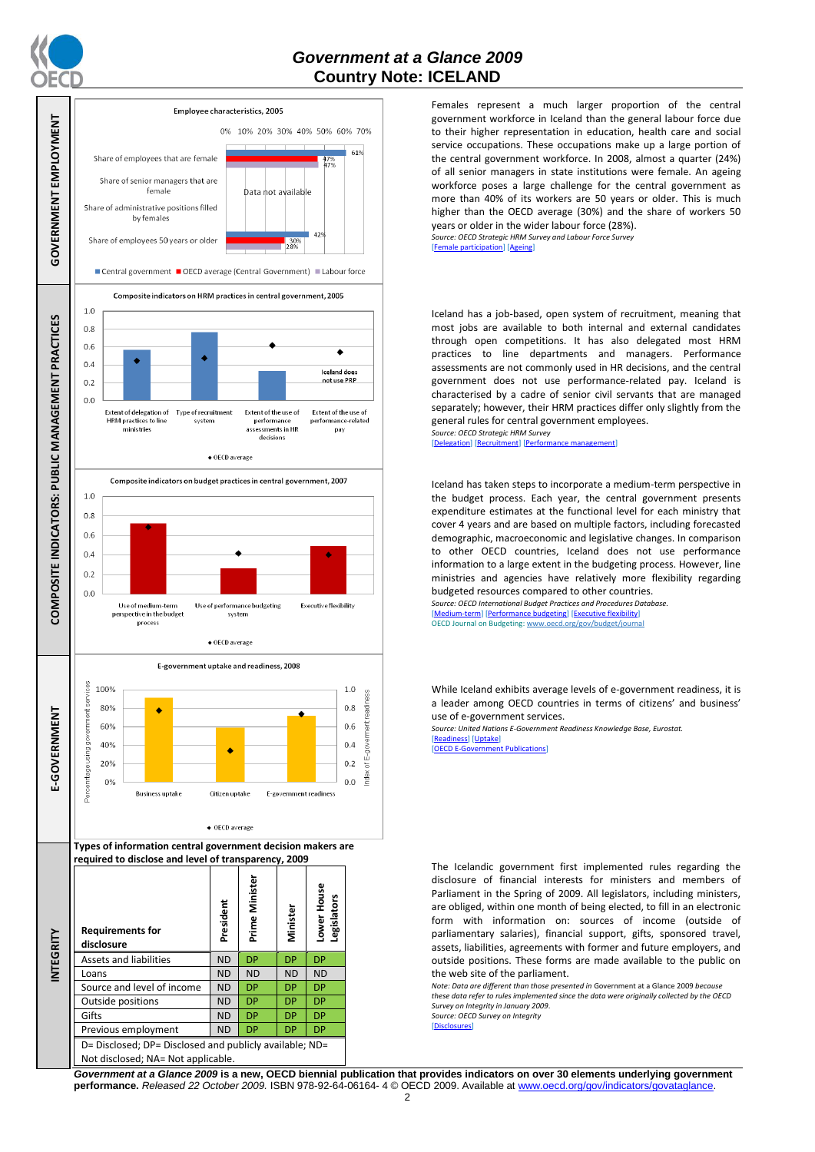

## *Government at a Glance 2009*  **Country Note: ICELAND**



Females represent a much larger proportion of the central government workforce in Iceland than the general labour force due to their higher representation in education, health care and social service occupations. These occupations make up a large portion of the central government workforce. In 2008, almost a quarter (24%) of all senior managers in state institutions were female. An ageing workforce poses a large challenge for the central government as more than 40% of its workers are 50 years or older. This is much higher than the OECD average (30%) and the share of workers 50 years or older in the wider labour force (28%). *Source: OECD Strategic HRM Survey and Labour Force Survey*

[\[Female participation\]](http://dx.doi.org/10.1787/723642841533) [\[Ageing\]](http://dx.doi.org/10.1787/723656070327)

Iceland has a job-based, open system of recruitment, meaning that most jobs are available to both internal and external candidates through open competitions. It has also delegated most HRM practices to line departments and managers. Performance assessments are not commonly used in HR decisions, and the central government does not use performance-related pay. Iceland is characterised by a cadre of senior civil servants that are managed separately; however, their HRM practices differ only slightly from the general rules for central government employees.

*Source: OECD Strategic HRM Survey*  [\[Delegation\]](http://dx.doi.org/10.1787/723663744332) [\[Recruitment\]](http://dx.doi.org/10.1787/723668744361) [\[Performance management\]](http://dx.doi.org/10.1787/723750171710)

Iceland has taken steps to incorporate a medium-term perspective in the budget process. Each year, the central government presents expenditure estimates at the functional level for each ministry that cover 4 years and are based on multiple factors, including forecasted demographic, macroeconomic and legislative changes. In comparison to other OECD countries, Iceland does not use performance information to a large extent in the budgeting process. However, line ministries and agencies have relatively more flexibility regarding budgeted resources compared to other countries.

*Source: OECD International Budget Practices and Procedures Database.* [\[Medium-term\]](http://dx.doi.org/10.1787/723856770865) [\[Performance budgeting\]](http://dx.doi.org/10.1787/723863437686) [\[Executive flexibility\]](http://dx.doi.org/10.1787/723876713213) OECD Journal on Budgeting[: www.oecd.org/gov/budget/journal](http://www.oecd.org/gov/budget/journal)

While Iceland exhibits average levels of e-government readiness, it is a leader among OECD countries in terms of citizens' and business' use of e-government services.

*Source: United Nations E-Government Readiness Knowledge Base, Eurostat.* [\[Readiness\]](http://dx.doi.org/10.1787/724248078408) [\[Uptake\]](http://dx.doi.org/10.1787/724264662272)<br>[OECD E-Governmen] **Dublications** 

The Icelandic government first implemented rules regarding the disclosure of financial interests for ministers and members of Parliament in the Spring of 2009. All legislators, including ministers, are obliged, within one month of being elected, to fill in an electronic form with information on: sources of income (outside of parliamentary salaries), financial support, gifts, sponsored travel, assets, liabilities, agreements with former and future employers, and outside positions. These forms are made available to the public on the web site of the parliament.

*Note: Data are different than those presented in* Government at a Glance 2009 *because these data refer to rules implemented since the data were originally collected by the OECD Survey on Integrity in January 2009*. *Source: OECD Survey on Integrity* sures]

*Government at a Glance 2009* **is a new, OECD biennial publication that provides indicators on over 30 elements underlying government performance.** *Released 22 October 2009.* ISBN 978-92-64-06164- 4 © OECD 2009. Available at www.oecd.org/gov/indicators/govataglance.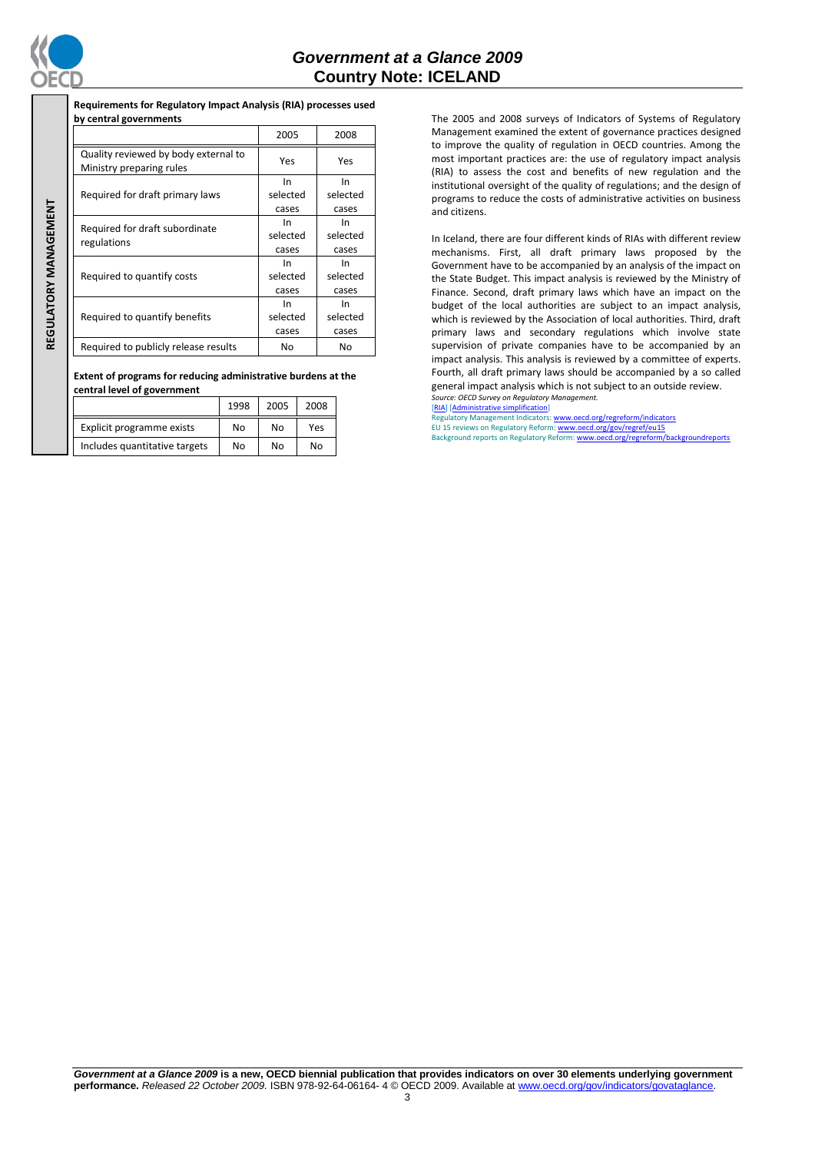

REGULATORY MANAGEMENT **REGULATORY MANAGEMENT**

## *Government at a Glance 2009*  **Country Note: ICELAND**

| Requirements for Regulatory Impact Analysis (RIA) processes used |  |
|------------------------------------------------------------------|--|
| by central governments                                           |  |
|                                                                  |  |

|  |                                                                  | 2005                     | 2008                     |
|--|------------------------------------------------------------------|--------------------------|--------------------------|
|  | Quality reviewed by body external to<br>Ministry preparing rules | Yes                      | Yes                      |
|  | Required for draft primary laws                                  | In.<br>selected<br>cases | In<br>selected<br>cases  |
|  | Required for draft subordinate<br>regulations                    | In<br>selected<br>cases  | In<br>selected<br>cases  |
|  | Required to quantify costs                                       | In.<br>selected<br>cases | In<br>selected<br>cases  |
|  | Required to quantify benefits                                    | In.<br>selected<br>cases | In.<br>selected<br>cases |
|  | Required to publicly release results                             | No                       | <b>No</b>                |

**Extent of programs for reducing administrative burdens at the central level of government**

|                               | 1998 | 2005 | 2008 |
|-------------------------------|------|------|------|
| Explicit programme exists     | No   | No   | Yes  |
| Includes quantitative targets | No   | No   | No   |

The 2005 and 2008 surveys of Indicators of Systems of Regulatory Management examined the extent of governance practices designed to improve the quality of regulation in OECD countries. Among the most important practices are: the use of regulatory impact analysis (RIA) to assess the cost and benefits of new regulation and the institutional oversight of the quality of regulations; and the design of programs to reduce the costs of administrative activities on business and citizens.

In Iceland, there are four different kinds of RIAs with different review mechanisms. First, all draft primary laws proposed by the Government have to be accompanied by an analysis of the impact on the State Budget. This impact analysis is reviewed by the Ministry of Finance. Second, draft primary laws which have an impact on the budget of the local authorities are subject to an impact analysis, which is reviewed by the Association of local authorities. Third, draft primary laws and secondary regulations which involve state supervision of private companies have to be accompanied by an impact analysis. This analysis is reviewed by a committee of experts. Fourth, all draft primary laws should be accompanied by a so called general impact analysis which is not subject to an outside review. *Source: OECD Survey on Regulatory Management.* [\[RIA\]](http://dx.doi.org/10.1787/724045144354) [\[Administrative simplification\]](http://dx.doi.org/10.1787/724058851054)

latory Management Indicators[: www.oecd.org/regreform/indicators](http://www.oecd.org/regreform/indicators)

EU 15 reviews on Regulatory Reform: <u>www.oecd.org/gov/regref/eu15</u><br>Background reports on Regulatory Reform: <u>www.oecd.org/regreform/backgroundreports</u>